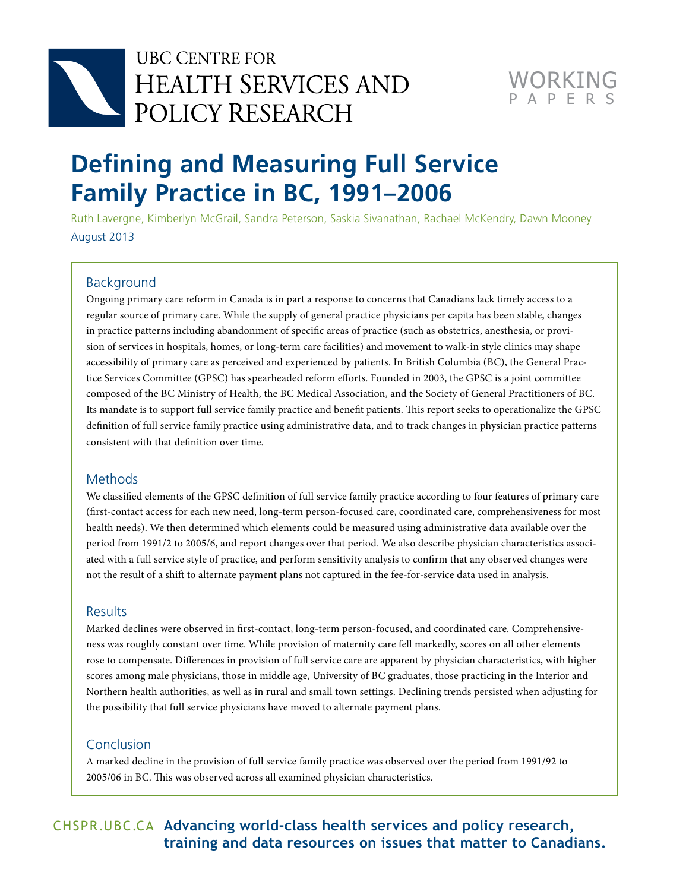



# **Defining and Measuring Full Service Family Practice in BC, 1991–2006**

Ruth Lavergne, Kimberlyn McGrail, Sandra Peterson, Saskia Sivanathan, Rachael McKendry, Dawn Mooney August 2013

### Background

Ongoing primary care reform in Canada is in part a response to concerns that Canadians lack timely access to a regular source of primary care. While the supply of general practice physicians per capita has been stable, changes in practice patterns including abandonment of specific areas of practice (such as obstetrics, anesthesia, or provision of services in hospitals, homes, or long-term care facilities) and movement to walk-in style clinics may shape accessibility of primary care as perceived and experienced by patients. In British Columbia (BC), the General Practice Services Committee (GPSC) has spearheaded reform efforts. Founded in 2003, the GPSC is a joint committee composed of the BC Ministry of Health, the BC Medical Association, and the Society of General Practitioners of BC. Its mandate is to support full service family practice and benefit patients. This report seeks to operationalize the GPSC definition of full service family practice using administrative data, and to track changes in physician practice patterns consistent with that definition over time.

### **Methods**

We classified elements of the GPSC definition of full service family practice according to four features of primary care (first-contact access for each new need, long-term person-focused care, coordinated care, comprehensiveness for most health needs). We then determined which elements could be measured using administrative data available over the period from 1991/2 to 2005/6, and report changes over that period. We also describe physician characteristics associated with a full service style of practice, and perform sensitivity analysis to confirm that any observed changes were not the result of a shift to alternate payment plans not captured in the fee-for-service data used in analysis.

#### **Results**

Marked declines were observed in first-contact, long-term person-focused, and coordinated care. Comprehensiveness was roughly constant over time. While provision of maternity care fell markedly, scores on all other elements rose to compensate. Differences in provision of full service care are apparent by physician characteristics, with higher scores among male physicians, those in middle age, University of BC graduates, those practicing in the Interior and Northern health authorities, as well as in rural and small town settings. Declining trends persisted when adjusting for the possibility that full service physicians have moved to alternate payment plans.

### Conclusion

A marked decline in the provision of full service family practice was observed over the period from 1991/92 to 2005/06 in BC. This was observed across all examined physician characteristics.

## CHSPR .UBC .CA **Advancing world-class health services and policy research, training and data resources on issues that matter to Canadians.**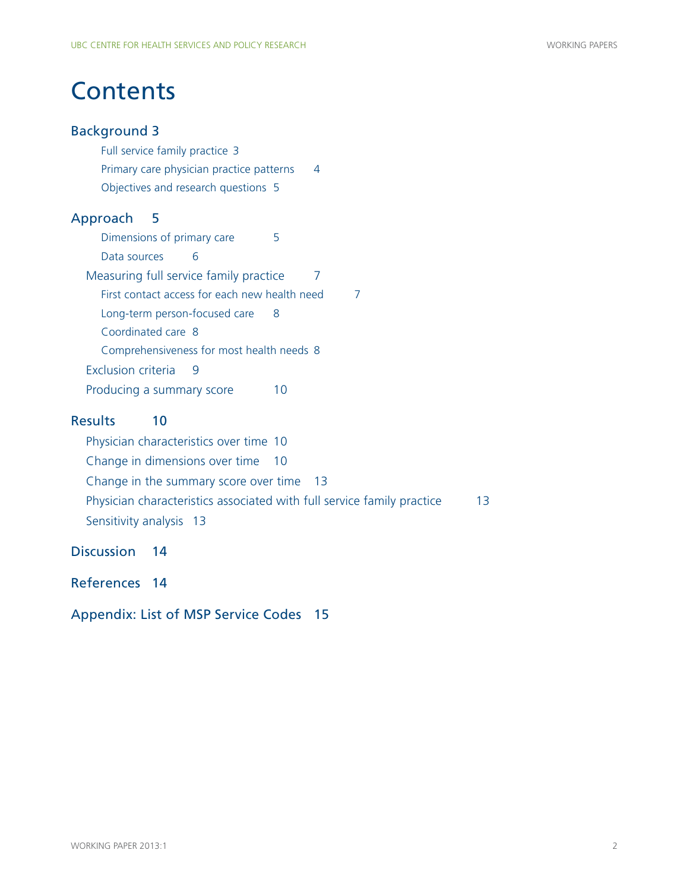# **Contents**

## Background 3

[Full service family practice](#page-2-0) 3 [Primary care physician practice patterns](#page-3-0) 4 [Objectives and research questions](#page-4-0) 5

## Approach 5

[Dimensions of primary care](#page-4-0)[Data sources](#page-5-0)[Measuring full service family practice](#page-6-0)[First contact access for each new health need](#page-6-0)[Long-term person-focused care](#page-7-0)[Coordinated care](#page-7-0) 8 [Comprehensiveness for most health needs](#page-7-0) 8 [Exclusion criteria](#page-8-0)[Producing a summary score](#page-9-0)

## Results 10

[Physician characteristics over time](#page-9-0) 10 [Change in dimensions over time](#page-9-0) 10 [Change in the summary score over time](#page-12-0) 13 [Physician characteristics associated with full service family practice](#page-12-0) 13 [Sensitivity analysis](#page-12-0) 13

Discussion 14

[References 14](#page-13-0)

[Appendix:](#page-14-0) List of MSP Service Codes 15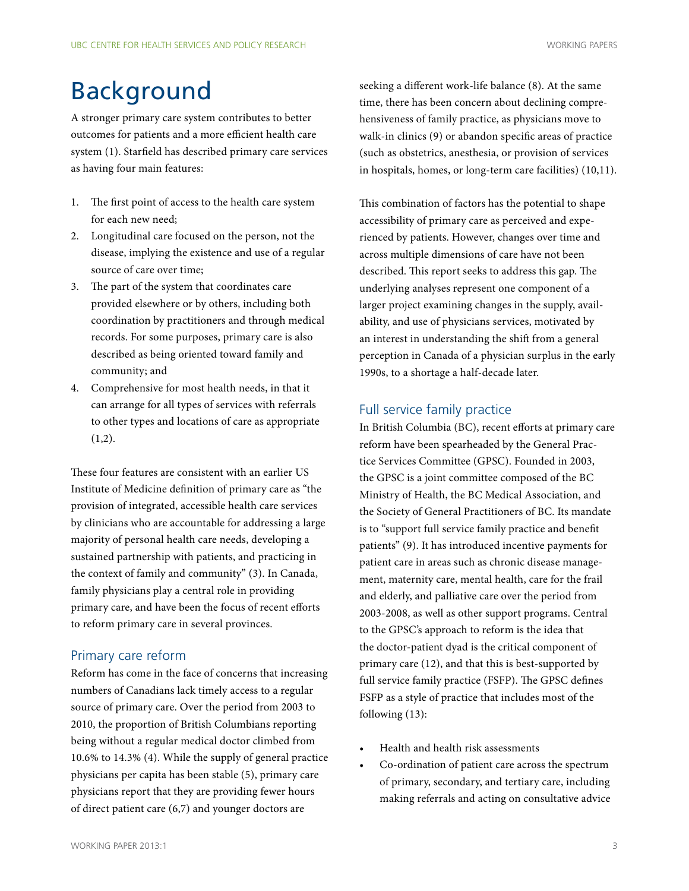# <span id="page-2-0"></span>Background

A stronger primary care system contributes to better outcomes for patients and a more efficient health care system (1). Starfield has described primary care services as having four main features:

- 1. The first point of access to the health care system for each new need;
- 2. Longitudinal care focused on the person, not the disease, implying the existence and use of a regular source of care over time;
- 3. The part of the system that coordinates care provided elsewhere or by others, including both coordination by practitioners and through medical records. For some purposes, primary care is also described as being oriented toward family and community; and
- 4. Comprehensive for most health needs, in that it can arrange for all types of services with referrals to other types and locations of care as appropriate  $(1,2)$ .

These four features are consistent with an earlier US Institute of Medicine definition of primary care as "the provision of integrated, accessible health care services by clinicians who are accountable for addressing a large majority of personal health care needs, developing a sustained partnership with patients, and practicing in the context of family and community" (3). In Canada, family physicians play a central role in providing primary care, and have been the focus of recent efforts to reform primary care in several provinces.

### Primary care reform

Reform has come in the face of concerns that increasing numbers of Canadians lack timely access to a regular source of primary care. Over the period from 2003 to 2010, the proportion of British Columbians reporting being without a regular medical doctor climbed from 10.6% to 14.3% (4). While the supply of general practice physicians per capita has been stable (5), primary care physicians report that they are providing fewer hours of direct patient care (6,7) and younger doctors are

seeking a different work-life balance (8). At the same time, there has been concern about declining comprehensiveness of family practice, as physicians move to walk-in clinics (9) or abandon specific areas of practice (such as obstetrics, anesthesia, or provision of services in hospitals, homes, or long-term care facilities) (10,11).

This combination of factors has the potential to shape accessibility of primary care as perceived and experienced by patients. However, changes over time and across multiple dimensions of care have not been described. This report seeks to address this gap. The underlying analyses represent one component of a larger project examining changes in the supply, availability, and use of physicians services, motivated by an interest in understanding the shift from a general perception in Canada of a physician surplus in the early 1990s, to a shortage a half-decade later.

#### Full service family practice

In British Columbia (BC), recent efforts at primary care reform have been spearheaded by the General Practice Services Committee (GPSC). Founded in 2003, the GPSC is a joint committee composed of the BC Ministry of Health, the BC Medical Association, and the Society of General Practitioners of BC. Its mandate is to "support full service family practice and benefit patients" (9). It has introduced incentive payments for patient care in areas such as chronic disease management, maternity care, mental health, care for the frail and elderly, and palliative care over the period from 2003-2008, as well as other support programs. Central to the GPSC's approach to reform is the idea that the doctor-patient dyad is the critical component of primary care (12), and that this is best-supported by full service family practice (FSFP). The GPSC defines FSFP as a style of practice that includes most of the following (13):

- Health and health risk assessments
- Co-ordination of patient care across the spectrum of primary, secondary, and tertiary care, including making referrals and acting on consultative advice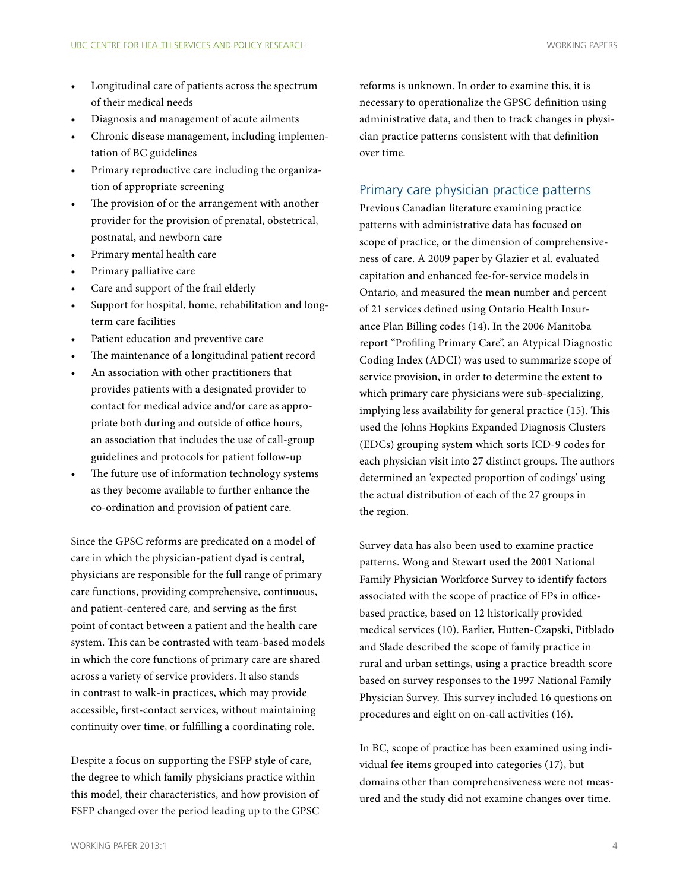- <span id="page-3-0"></span>Longitudinal care of patients across the spectrum of their medical needs
- Diagnosis and management of acute ailments
- Chronic disease management, including implementation of BC guidelines
- Primary reproductive care including the organization of appropriate screening
- The provision of or the arrangement with another provider for the provision of prenatal, obstetrical, postnatal, and newborn care
- Primary mental health care
- Primary palliative care
- Care and support of the frail elderly
- Support for hospital, home, rehabilitation and longterm care facilities
- Patient education and preventive care
- The maintenance of a longitudinal patient record
- An association with other practitioners that provides patients with a designated provider to contact for medical advice and/or care as appropriate both during and outside of office hours, an association that includes the use of call-group guidelines and protocols for patient follow-up
- The future use of information technology systems as they become available to further enhance the co-ordination and provision of patient care.

Since the GPSC reforms are predicated on a model of care in which the physician-patient dyad is central, physicians are responsible for the full range of primary care functions, providing comprehensive, continuous, and patient-centered care, and serving as the first point of contact between a patient and the health care system. This can be contrasted with team-based models in which the core functions of primary care are shared across a variety of service providers. It also stands in contrast to walk-in practices, which may provide accessible, first-contact services, without maintaining continuity over time, or fulfilling a coordinating role.

Despite a focus on supporting the FSFP style of care, the degree to which family physicians practice within this model, their characteristics, and how provision of FSFP changed over the period leading up to the GPSC reforms is unknown. In order to examine this, it is necessary to operationalize the GPSC definition using administrative data, and then to track changes in physician practice patterns consistent with that definition over time.

#### Primary care physician practice patterns

Previous Canadian literature examining practice patterns with administrative data has focused on scope of practice, or the dimension of comprehensiveness of care. A 2009 paper by Glazier et al. evaluated capitation and enhanced fee-for-service models in Ontario, and measured the mean number and percent of 21 services defined using Ontario Health Insurance Plan Billing codes (14). In the 2006 Manitoba report "Profiling Primary Care", an Atypical Diagnostic Coding Index (ADCI) was used to summarize scope of service provision, in order to determine the extent to which primary care physicians were sub-specializing, implying less availability for general practice (15). This used the Johns Hopkins Expanded Diagnosis Clusters (EDCs) grouping system which sorts ICD-9 codes for each physician visit into 27 distinct groups. The authors determined an 'expected proportion of codings' using the actual distribution of each of the 27 groups in the region.

Survey data has also been used to examine practice patterns. Wong and Stewart used the 2001 National Family Physician Workforce Survey to identify factors associated with the scope of practice of FPs in officebased practice, based on 12 historically provided medical services (10). Earlier, Hutten-Czapski, Pitblado and Slade described the scope of family practice in rural and urban settings, using a practice breadth score based on survey responses to the 1997 National Family Physician Survey. This survey included 16 questions on procedures and eight on on-call activities (16).

In BC, scope of practice has been examined using individual fee items grouped into categories (17), but domains other than comprehensiveness were not measured and the study did not examine changes over time.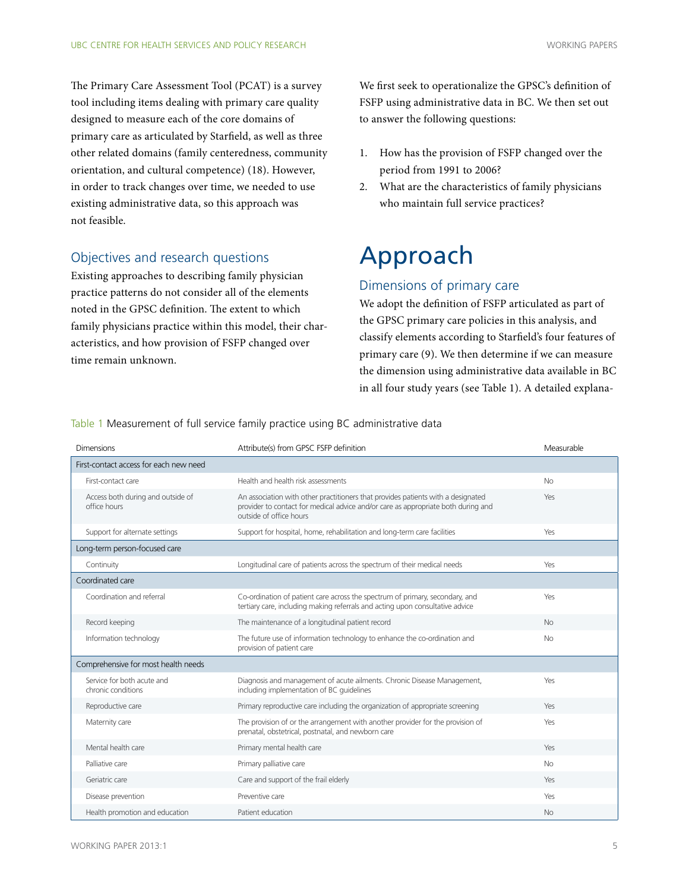<span id="page-4-0"></span>The Primary Care Assessment Tool (PCAT) is a survey tool including items dealing with primary care quality designed to measure each of the core domains of primary care as articulated by Starfield, as well as three other related domains (family centeredness, community orientation, and cultural competence) (18). However, in order to track changes over time, we needed to use existing administrative data, so this approach was not feasible.

### Objectives and research questions

Existing approaches to describing family physician practice patterns do not consider all of the elements noted in the GPSC definition. The extent to which family physicians practice within this model, their characteristics, and how provision of FSFP changed over time remain unknown.

We first seek to operationalize the GPSC's definition of FSFP using administrative data in BC. We then set out to answer the following questions:

- 1. How has the provision of FSFP changed over the period from 1991 to 2006?
- 2. What are the characteristics of family physicians who maintain full service practices?

# Approach

### Dimensions of primary care

We adopt the definition of FSFP articulated as part of the GPSC primary care policies in this analysis, and classify elements according to Starfield's four features of primary care (9). We then determine if we can measure the dimension using administrative data available in BC in all four study years (see Table 1). A detailed explana-

| <b>Dimensions</b>                                 | Attribute(s) from GPSC FSFP definition                                                                                                                                                           | Measurable |
|---------------------------------------------------|--------------------------------------------------------------------------------------------------------------------------------------------------------------------------------------------------|------------|
| First-contact access for each new need            |                                                                                                                                                                                                  |            |
| First-contact care                                | Health and health risk assessments                                                                                                                                                               | No.        |
| Access both during and outside of<br>office hours | An association with other practitioners that provides patients with a designated<br>provider to contact for medical advice and/or care as appropriate both during and<br>outside of office hours | Yes        |
| Support for alternate settings                    | Support for hospital, home, rehabilitation and long-term care facilities                                                                                                                         | Yes        |
| Long-term person-focused care                     |                                                                                                                                                                                                  |            |
| Continuity                                        | Longitudinal care of patients across the spectrum of their medical needs                                                                                                                         | Yes        |
| Coordinated care                                  |                                                                                                                                                                                                  |            |
| Coordination and referral                         | Co-ordination of patient care across the spectrum of primary, secondary, and<br>tertiary care, including making referrals and acting upon consultative advice                                    | Yes        |
| Record keeping                                    | The maintenance of a longitudinal patient record                                                                                                                                                 | No         |
| Information technology                            | The future use of information technology to enhance the co-ordination and<br>provision of patient care                                                                                           | <b>No</b>  |
| Comprehensive for most health needs               |                                                                                                                                                                                                  |            |
| Service for both acute and<br>chronic conditions  | Diagnosis and management of acute ailments. Chronic Disease Management,<br>including implementation of BC quidelines                                                                             | Yes        |
| Reproductive care                                 | Primary reproductive care including the organization of appropriate screening                                                                                                                    | Yes        |
| Maternity care                                    | The provision of or the arrangement with another provider for the provision of<br>prenatal, obstetrical, postnatal, and newborn care                                                             | Yes        |
| Mental health care                                | Primary mental health care                                                                                                                                                                       | Yes        |
| Palliative care                                   | Primary palliative care                                                                                                                                                                          | <b>No</b>  |
| Geriatric care                                    | Care and support of the frail elderly                                                                                                                                                            | Yes        |
| Disease prevention                                | Preventive care                                                                                                                                                                                  | Yes        |
| Health promotion and education                    | Patient education                                                                                                                                                                                | No.        |

Table 1 Measurement of full service family practice using BC administrative data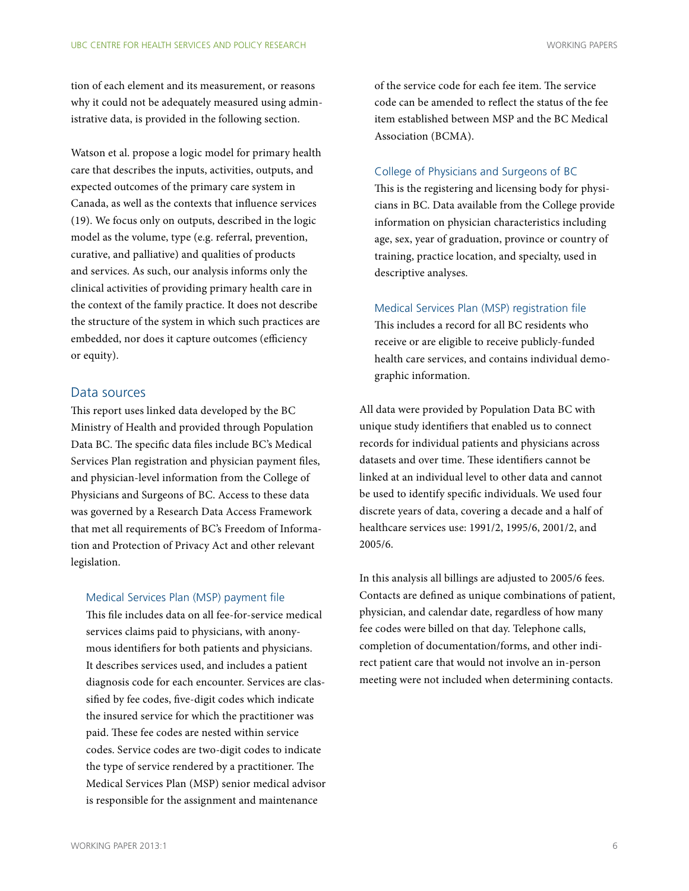<span id="page-5-0"></span>tion of each element and its measurement, or reasons why it could not be adequately measured using administrative data, is provided in the following section.

Watson et al. propose a logic model for primary health care that describes the inputs, activities, outputs, and expected outcomes of the primary care system in Canada, as well as the contexts that influence services (19). We focus only on outputs, described in the logic model as the volume, type (e.g. referral, prevention, curative, and palliative) and qualities of products and services. As such, our analysis informs only the clinical activities of providing primary health care in the context of the family practice. It does not describe the structure of the system in which such practices are embedded, nor does it capture outcomes (efficiency or equity).

#### Data sources

This report uses linked data developed by the BC Ministry of Health and provided through Population Data BC. The specific data files include BC's Medical Services Plan registration and physician payment files, and physician-level information from the College of Physicians and Surgeons of BC. Access to these data was governed by a Research Data Access Framework that met all requirements of BC's Freedom of Information and Protection of Privacy Act and other relevant legislation.

#### Medical Services Plan (MSP) payment file

This file includes data on all fee-for-service medical services claims paid to physicians, with anonymous identifiers for both patients and physicians. It describes services used, and includes a patient diagnosis code for each encounter. Services are classified by fee codes, five-digit codes which indicate the insured service for which the practitioner was paid. These fee codes are nested within service codes. Service codes are two-digit codes to indicate the type of service rendered by a practitioner. The Medical Services Plan (MSP) senior medical advisor is responsible for the assignment and maintenance

of the service code for each fee item. The service code can be amended to reflect the status of the fee item established between MSP and the BC Medical Association (BCMA).

#### College of Physicians and Surgeons of BC

This is the registering and licensing body for physicians in BC. Data available from the College provide information on physician characteristics including age, sex, year of graduation, province or country of training, practice location, and specialty, used in descriptive analyses.

Medical Services Plan (MSP) registration file

This includes a record for all BC residents who receive or are eligible to receive publicly-funded health care services, and contains individual demographic information.

All data were provided by Population Data BC with unique study identifiers that enabled us to connect records for individual patients and physicians across datasets and over time. These identifiers cannot be linked at an individual level to other data and cannot be used to identify specific individuals. We used four discrete years of data, covering a decade and a half of healthcare services use: 1991/2, 1995/6, 2001/2, and 2005/6.

In this analysis all billings are adjusted to 2005/6 fees. Contacts are defined as unique combinations of patient, physician, and calendar date, regardless of how many fee codes were billed on that day. Telephone calls, completion of documentation/forms, and other indirect patient care that would not involve an in-person meeting were not included when determining contacts.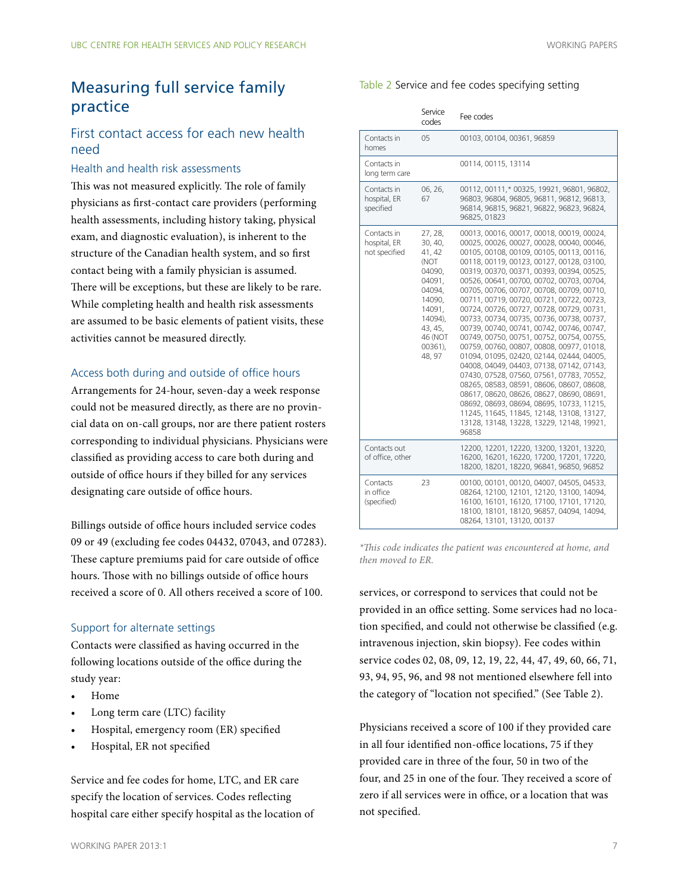# <span id="page-6-0"></span>Measuring full service family practice

### First contact access for each new health need

#### Health and health risk assessments

This was not measured explicitly. The role of family physicians as first-contact care providers (performing health assessments, including history taking, physical exam, and diagnostic evaluation), is inherent to the structure of the Canadian health system, and so first contact being with a family physician is assumed. There will be exceptions, but these are likely to be rare. While completing health and health risk assessments are assumed to be basic elements of patient visits, these activities cannot be measured directly.

#### Access both during and outside of office hours

Arrangements for 24-hour, seven-day a week response could not be measured directly, as there are no provincial data on on-call groups, nor are there patient rosters corresponding to individual physicians. Physicians were classified as providing access to care both during and outside of office hours if they billed for any services designating care outside of office hours.

Billings outside of office hours included service codes 09 or 49 (excluding fee codes 04432, 07043, and 07283). These capture premiums paid for care outside of office hours. Those with no billings outside of office hours received a score of 0. All others received a score of 100.

#### Support for alternate settings

Contacts were classified as having occurred in the following locations outside of the office during the study year:

- Home
- Long term care (LTC) facility
- Hospital, emergency room (ER) specified
- Hospital, ER not specified

Service and fee codes for home, LTC, and ER care specify the location of services. Codes reflecting hospital care either specify hospital as the location of

#### Table 2 Service and fee codes specifying setting

|                                              | Service<br>codes                                                                                                                                | Fee codes                                                                                                                                                                                                                                                                                                                                                                                                                                                                                                                                                                                                                                                                                                                                                                                                                                                                                                                                                                              |
|----------------------------------------------|-------------------------------------------------------------------------------------------------------------------------------------------------|----------------------------------------------------------------------------------------------------------------------------------------------------------------------------------------------------------------------------------------------------------------------------------------------------------------------------------------------------------------------------------------------------------------------------------------------------------------------------------------------------------------------------------------------------------------------------------------------------------------------------------------------------------------------------------------------------------------------------------------------------------------------------------------------------------------------------------------------------------------------------------------------------------------------------------------------------------------------------------------|
| Contacts in<br>homes                         | 05                                                                                                                                              | 00103, 00104, 00361, 96859                                                                                                                                                                                                                                                                                                                                                                                                                                                                                                                                                                                                                                                                                                                                                                                                                                                                                                                                                             |
| Contacts in<br>long term care                |                                                                                                                                                 | 00114, 00115, 13114                                                                                                                                                                                                                                                                                                                                                                                                                                                                                                                                                                                                                                                                                                                                                                                                                                                                                                                                                                    |
| Contacts in<br>hospital, ER<br>specified     | 06, 26,<br>67                                                                                                                                   | 00112, 00111,* 00325, 19921, 96801, 96802,<br>96803, 96804, 96805, 96811, 96812, 96813,<br>96814, 96815, 96821, 96822, 96823, 96824,<br>96825, 01823                                                                                                                                                                                                                                                                                                                                                                                                                                                                                                                                                                                                                                                                                                                                                                                                                                   |
| Contacts in<br>hospital, ER<br>not specified | 27, 28,<br>30, 40,<br>41, 42<br>(NOT<br>04090,<br>04091.<br>04094.<br>14090.<br>14091.<br>14094).<br>43, 45,<br>46 (NOT<br>$00361$ ),<br>48, 97 | 00013, 00016, 00017, 00018, 00019, 00024,<br>00025, 00026, 00027, 00028, 00040, 00046,<br>00105, 00108, 00109, 00105, 00113, 00116,<br>00118, 00119, 00123, 00127, 00128, 03100,<br>00319, 00370, 00371, 00393, 00394, 00525,<br>00526, 00641, 00700, 00702, 00703, 00704,<br>00705, 00706, 00707, 00708, 00709, 00710,<br>00711, 00719, 00720, 00721, 00722, 00723,<br>00724, 00726, 00727, 00728, 00729, 00731,<br>00733, 00734, 00735, 00736, 00738, 00737,<br>00739, 00740, 00741, 00742, 00746, 00747,<br>00749, 00750, 00751, 00752, 00754, 00755,<br>00759, 00760, 00807, 00808, 00977, 01018,<br>01094, 01095, 02420, 02144, 02444, 04005,<br>04008, 04049, 04403, 07138, 07142, 07143,<br>07430, 07528, 07560, 07561, 07783, 70552,<br>08265, 08583, 08591, 08606, 08607, 08608,<br>08617, 08620, 08626, 08627, 08690, 08691,<br>08692, 08693, 08694, 08695, 10733, 11215,<br>11245, 11645, 11845, 12148, 13108, 13127,<br>13128, 13148, 13228, 13229, 12148, 19921,<br>96858 |
| Contacts out<br>of office, other             |                                                                                                                                                 | 12200, 12201, 12220, 13200, 13201, 13220,<br>16200, 16201, 16220, 17200, 17201, 17220,<br>18200, 18201, 18220, 96841, 96850, 96852                                                                                                                                                                                                                                                                                                                                                                                                                                                                                                                                                                                                                                                                                                                                                                                                                                                     |
| Contacts<br>in office<br>(specified)         | 23                                                                                                                                              | 00100, 00101, 00120, 04007, 04505, 04533,<br>08264, 12100, 12101, 12120, 13100, 14094,<br>16100, 16101, 16120, 17100, 17101, 17120,<br>18100, 18101, 18120, 96857, 04094, 14094,<br>08264, 13101, 13120, 00137                                                                                                                                                                                                                                                                                                                                                                                                                                                                                                                                                                                                                                                                                                                                                                         |

*\*This code indicates the patient was encountered at home, and then moved to ER.*

services, or correspond to services that could not be provided in an office setting. Some services had no location specified, and could not otherwise be classified (e.g. intravenous injection, skin biopsy). Fee codes within service codes 02, 08, 09, 12, 19, 22, 44, 47, 49, 60, 66, 71, 93, 94, 95, 96, and 98 not mentioned elsewhere fell into the category of "location not specified." (See Table 2).

Physicians received a score of 100 if they provided care in all four identified non-office locations, 75 if they provided care in three of the four, 50 in two of the four, and 25 in one of the four. They received a score of zero if all services were in office, or a location that was not specified.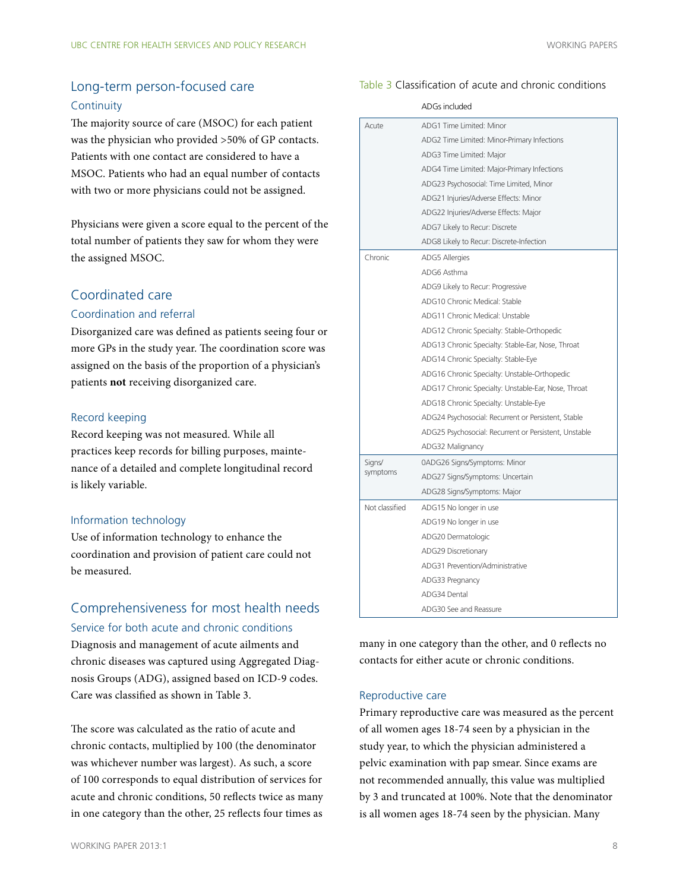## <span id="page-7-0"></span>Long-term person-focused care **Continuity**

The majority source of care (MSOC) for each patient was the physician who provided >50% of GP contacts. Patients with one contact are considered to have a MSOC. Patients who had an equal number of contacts with two or more physicians could not be assigned.

Physicians were given a score equal to the percent of the total number of patients they saw for whom they were the assigned MSOC.

#### Coordinated care

#### Coordination and referral

Disorganized care was defined as patients seeing four or more GPs in the study year. The coordination score was assigned on the basis of the proportion of a physician's patients **not** receiving disorganized care.

#### Record keeping

Record keeping was not measured. While all practices keep records for billing purposes, maintenance of a detailed and complete longitudinal record is likely variable.

#### Information technology

Use of information technology to enhance the coordination and provision of patient care could not be measured.

### Comprehensiveness for most health needs Service for both acute and chronic conditions

Diagnosis and management of acute ailments and chronic diseases was captured using Aggregated Diagnosis Groups (ADG), assigned based on ICD-9 codes. Care was classified as shown in Table 3.

The score was calculated as the ratio of acute and chronic contacts, multiplied by 100 (the denominator was whichever number was largest). As such, a score of 100 corresponds to equal distribution of services for acute and chronic conditions, 50 reflects twice as many in one category than the other, 25 reflects four times as

#### Table 3 Classification of acute and chronic conditions

|                | ADGs included                                         |
|----------------|-------------------------------------------------------|
| Acute          | ADG1 Time Limited: Minor                              |
|                | ADG2 Time Limited: Minor-Primary Infections           |
|                | ADG3 Time Limited: Major                              |
|                | ADG4 Time Limited: Major-Primary Infections           |
|                | ADG23 Psychosocial: Time Limited, Minor               |
|                | ADG21 Injuries/Adverse Effects: Minor                 |
|                | ADG22 Injuries/Adverse Effects: Major                 |
|                | ADG7 Likely to Recur: Discrete                        |
|                | ADG8 Likely to Recur: Discrete-Infection              |
| Chronic        | <b>ADG5 Allergies</b>                                 |
|                | ADG6 Asthma                                           |
|                | ADG9 Likely to Recur: Progressive                     |
|                | ADG10 Chronic Medical: Stable                         |
|                | ADG11 Chronic Medical: Unstable                       |
|                | ADG12 Chronic Specialty: Stable-Orthopedic            |
|                | ADG13 Chronic Specialty: Stable-Ear, Nose, Throat     |
|                | ADG14 Chronic Specialty: Stable-Eye                   |
|                | ADG16 Chronic Specialty: Unstable-Orthopedic          |
|                | ADG17 Chronic Specialty: Unstable-Ear, Nose, Throat   |
|                | ADG18 Chronic Specialty: Unstable-Eye                 |
|                | ADG24 Psychosocial: Recurrent or Persistent, Stable   |
|                | ADG25 Psychosocial: Recurrent or Persistent, Unstable |
|                | ADG32 Malignancy                                      |
| Signs/         | 0ADG26 Signs/Symptoms: Minor                          |
| symptoms       | ADG27 Signs/Symptoms: Uncertain                       |
|                | ADG28 Signs/Symptoms: Major                           |
| Not classified | ADG15 No longer in use                                |
|                | ADG19 No longer in use                                |
|                | ADG20 Dermatologic                                    |
|                | ADG29 Discretionary                                   |
|                | ADG31 Prevention/Administrative                       |
|                | ADG33 Pregnancy                                       |
|                | ADG34 Dental                                          |
|                | ADG30 See and Reassure                                |

many in one category than the other, and 0 reflects no contacts for either acute or chronic conditions.

#### Reproductive care

Primary reproductive care was measured as the percent of all women ages 18-74 seen by a physician in the study year, to which the physician administered a pelvic examination with pap smear. Since exams are not recommended annually, this value was multiplied by 3 and truncated at 100%. Note that the denominator is all women ages 18-74 seen by the physician. Many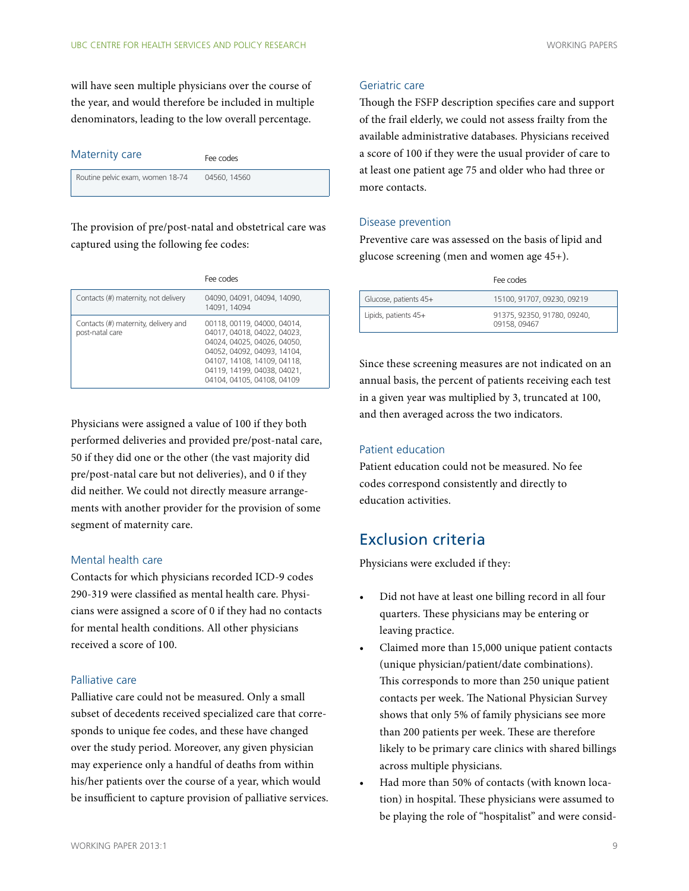<span id="page-8-0"></span>will have seen multiple physicians over the course of the year, and would therefore be included in multiple denominators, leading to the low overall percentage.

| Maternity care                   | Fee codes    |
|----------------------------------|--------------|
| Routine pelvic exam, women 18-74 | 04560, 14560 |

The provision of pre/post-natal and obstetrical care was captured using the following fee codes:

|                                                         | Fee codes                                                                                                                                                                                                            |
|---------------------------------------------------------|----------------------------------------------------------------------------------------------------------------------------------------------------------------------------------------------------------------------|
| Contacts (#) maternity, not delivery                    | 04090, 04091, 04094, 14090,<br>14091, 14094                                                                                                                                                                          |
| Contacts (#) maternity, delivery and<br>post-natal care | 00118, 00119, 04000, 04014,<br>04017, 04018, 04022, 04023,<br>04024, 04025, 04026, 04050,<br>04052, 04092, 04093, 14104,<br>04107, 14108, 14109, 04118,<br>04119, 14199, 04038, 04021,<br>04104, 04105, 04108, 04109 |

Physicians were assigned a value of 100 if they both performed deliveries and provided pre/post-natal care, 50 if they did one or the other (the vast majority did pre/post-natal care but not deliveries), and 0 if they did neither. We could not directly measure arrangements with another provider for the provision of some segment of maternity care.

#### Mental health care

Contacts for which physicians recorded ICD-9 codes 290-319 were classified as mental health care. Physicians were assigned a score of 0 if they had no contacts for mental health conditions. All other physicians received a score of 100.

#### Palliative care

Palliative care could not be measured. Only a small subset of decedents received specialized care that corresponds to unique fee codes, and these have changed over the study period. Moreover, any given physician may experience only a handful of deaths from within his/her patients over the course of a year, which would be insufficient to capture provision of palliative services.

#### Geriatric care

Though the FSFP description specifies care and support of the frail elderly, we could not assess frailty from the available administrative databases. Physicians received a score of 100 if they were the usual provider of care to at least one patient age 75 and older who had three or more contacts.

#### Disease prevention

Preventive care was assessed on the basis of lipid and glucose screening (men and women age 45+).

|                        | Fee codes                                   |
|------------------------|---------------------------------------------|
| Glucose, patients 45+  | 15100, 91707, 09230, 09219                  |
| Lipids, patients $45+$ | 91375, 92350, 91780, 09240,<br>09158, 09467 |

Since these screening measures are not indicated on an annual basis, the percent of patients receiving each test in a given year was multiplied by 3, truncated at 100, and then averaged across the two indicators.

#### Patient education

Patient education could not be measured. No fee codes correspond consistently and directly to education activities.

## Exclusion criteria

Physicians were excluded if they:

- Did not have at least one billing record in all four quarters. These physicians may be entering or leaving practice.
- Claimed more than 15,000 unique patient contacts (unique physician/patient/date combinations). This corresponds to more than 250 unique patient contacts per week. The National Physician Survey shows that only 5% of family physicians see more than 200 patients per week. These are therefore likely to be primary care clinics with shared billings across multiple physicians.
- Had more than 50% of contacts (with known location) in hospital. These physicians were assumed to be playing the role of "hospitalist" and were consid-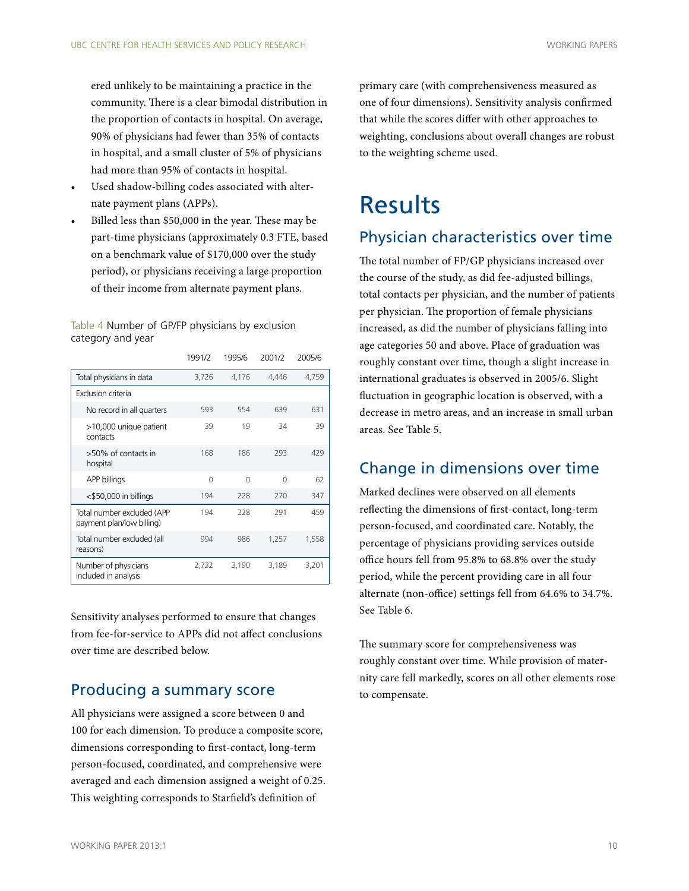<span id="page-9-0"></span>ered unlikely to be maintaining a practice in the community. There is a clear bimodal distribution in the proportion of contacts in hospital. On average, 90% of physicians had fewer than 35% of contacts in hospital, and a small cluster of 5% of physicians had more than 95% of contacts in hospital.

- Used shadow-billing codes associated with alternate payment plans (APPs).
- Billed less than \$50,000 in the year. These may be part-time physicians (approximately 0.3 FTE, based on a benchmark value of \$170,000 over the study period), or physicians receiving a large proportion of their income from alternate payment plans.

Table 4 Number of GP/FP physicians by exclusion category and year

|                                                         | 1991/2   | 1995/6 | 2001/2   | 2005/6 |
|---------------------------------------------------------|----------|--------|----------|--------|
| Total physicians in data                                | 3,726    | 4,176  | 4,446    | 4,759  |
| Exclusion criteria                                      |          |        |          |        |
| No record in all quarters                               | 593      | 554    | 639      | 631    |
| >10,000 unique patient<br>contacts                      | 39       | 19     | 34       | 39     |
| >50% of contacts in<br>hospital                         | 168      | 186    | 293      | 429    |
| APP billings                                            | $\Omega$ | $\cap$ | $\Omega$ | 62     |
| $<$ \$50,000 in billings                                | 194      | 228    | 270      | 347    |
| Total number excluded (APP<br>payment plan/low billing) | 194      | 228    | 291      | 459    |
| Total number excluded (all<br>reasons)                  | 994      | 986    | 1,257    | 1,558  |
| Number of physicians<br>included in analysis            | 2,732    | 3,190  | 3,189    | 3,201  |

Sensitivity analyses performed to ensure that changes from fee-for-service to APPs did not affect conclusions over time are described below.

## Producing a summary score

All physicians were assigned a score between 0 and 100 for each dimension. To produce a composite score, dimensions corresponding to first-contact, long-term person-focused, coordinated, and comprehensive were averaged and each dimension assigned a weight of 0.25. This weighting corresponds to Starfield's definition of

primary care (with comprehensiveness measured as one of four dimensions). Sensitivity analysis confirmed that while the scores differ with other approaches to weighting, conclusions about overall changes are robust to the weighting scheme used.

# Results

# Physician characteristics over time

The total number of FP/GP physicians increased over the course of the study, as did fee-adjusted billings, total contacts per physician, and the number of patients per physician. The proportion of female physicians increased, as did the number of physicians falling into age categories 50 and above. Place of graduation was roughly constant over time, though a slight increase in international graduates is observed in 2005/6. Slight fluctuation in geographic location is observed, with a decrease in metro areas, and an increase in small urban areas. See Table 5.

# Change in dimensions over time

Marked declines were observed on all elements reflecting the dimensions of first-contact, long-term person-focused, and coordinated care. Notably, the percentage of physicians providing services outside office hours fell from 95.8% to 68.8% over the study period, while the percent providing care in all four alternate (non-office) settings fell from 64.6% to 34.7%. See Table 6.

The summary score for comprehensiveness was roughly constant over time. While provision of maternity care fell markedly, scores on all other elements rose to compensate.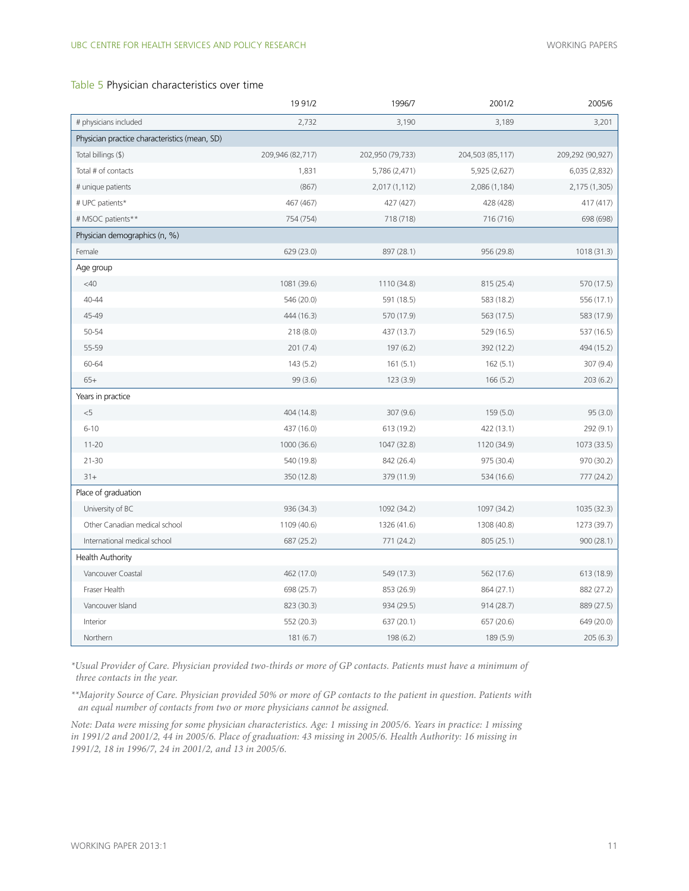#### Table 5 Physician characteristics over time

|                                               | 1991/2           | 1996/7           | 2001/2           | 2005/6           |
|-----------------------------------------------|------------------|------------------|------------------|------------------|
| # physicians included                         | 2,732            | 3,190            | 3,189            | 3,201            |
| Physician practice characteristics (mean, SD) |                  |                  |                  |                  |
| Total billings (\$)                           | 209,946 (82,717) | 202,950 (79,733) | 204,503 (85,117) | 209,292 (90,927) |
| Total # of contacts                           | 1,831            | 5,786 (2,471)    | 5,925 (2,627)    | 6,035 (2,832)    |
| # unique patients                             | (867)            | 2,017 (1,112)    | 2,086 (1,184)    | 2,175 (1,305)    |
| # UPC patients*                               | 467 (467)        | 427 (427)        | 428 (428)        | 417 (417)        |
| # MSOC patients**                             | 754 (754)        | 718 (718)        | 716 (716)        | 698 (698)        |
| Physician demographics (n, %)                 |                  |                  |                  |                  |
| Female                                        | 629 (23.0)       | 897 (28.1)       | 956 (29.8)       | 1018 (31.3)      |
| Age group                                     |                  |                  |                  |                  |
| $<$ 40                                        | 1081 (39.6)      | 1110 (34.8)      | 815 (25.4)       | 570 (17.5)       |
| 40-44                                         | 546 (20.0)       | 591 (18.5)       | 583 (18.2)       | 556 (17.1)       |
| 45-49                                         | 444 (16.3)       | 570 (17.9)       | 563 (17.5)       | 583 (17.9)       |
| 50-54                                         | 218(8.0)         | 437 (13.7)       | 529 (16.5)       | 537 (16.5)       |
| 55-59                                         | 201(7.4)         | 197 (6.2)        | 392 (12.2)       | 494 (15.2)       |
| 60-64                                         | 143(5.2)         | 161(5.1)         | 162(5.1)         | 307 (9.4)        |
| $65+$                                         | 99(3.6)          | 123 (3.9)        | 166(5.2)         | 203(6.2)         |
| Years in practice                             |                  |                  |                  |                  |
| $<$ 5                                         | 404 (14.8)       | 307 (9.6)        | 159(5.0)         | 95(3.0)          |
| $6 - 10$                                      | 437 (16.0)       | 613 (19.2)       | 422 (13.1)       | 292 (9.1)        |
| $11 - 20$                                     | 1000 (36.6)      | 1047 (32.8)      | 1120 (34.9)      | 1073 (33.5)      |
| $21 - 30$                                     | 540 (19.8)       | 842 (26.4)       | 975 (30.4)       | 970 (30.2)       |
| $31+$                                         | 350 (12.8)       | 379 (11.9)       | 534 (16.6)       | 777 (24.2)       |
| Place of graduation                           |                  |                  |                  |                  |
| University of BC                              | 936 (34.3)       | 1092 (34.2)      | 1097 (34.2)      | 1035 (32.3)      |
| Other Canadian medical school                 | 1109 (40.6)      | 1326 (41.6)      | 1308 (40.8)      | 1273 (39.7)      |
| International medical school                  | 687 (25.2)       | 771 (24.2)       | 805 (25.1)       | 900(28.1)        |
| <b>Health Authority</b>                       |                  |                  |                  |                  |
| Vancouver Coastal                             | 462 (17.0)       | 549 (17.3)       | 562 (17.6)       | 613 (18.9)       |
| Fraser Health                                 | 698 (25.7)       | 853 (26.9)       | 864 (27.1)       | 882 (27.2)       |
| Vancouver Island                              | 823 (30.3)       | 934 (29.5)       | 914(28.7)        | 889 (27.5)       |
| Interior                                      | 552 (20.3)       | 637 (20.1)       | 657 (20.6)       | 649 (20.0)       |
| Northern                                      | 181(6.7)         | 198(6.2)         | 189 (5.9)        | 205(6.3)         |

*\*Usual Provider of Care. Physician provided two-thirds or more of GP contacts. Patients must have a minimum of three contacts in the year.*

*\*\*Majority Source of Care. Physician provided 50% or more of GP contacts to the patient in question. Patients with an equal number of contacts from two or more physicians cannot be assigned.* 

*Note: Data were missing for some physician characteristics. Age: 1 missing in 2005/6. Years in practice: 1 missing in 1991/2 and 2001/2, 44 in 2005/6. Place of graduation: 43 missing in 2005/6. Health Authority: 16 missing in 1991/2, 18 in 1996/7, 24 in 2001/2, and 13 in 2005/6.*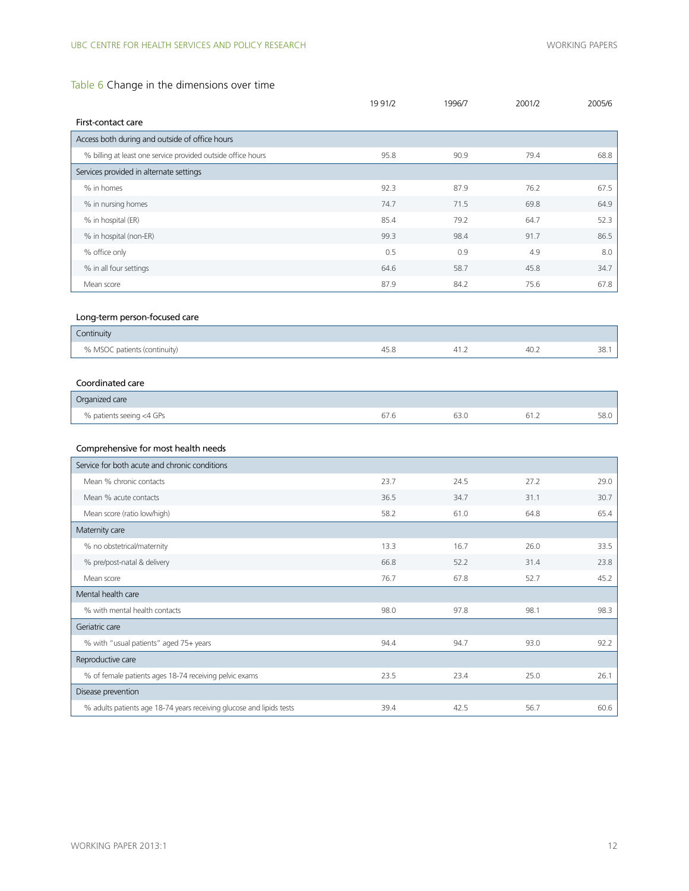## Table 6 Change in the dimensions over time

|                                                                      | 19 91/2 | 1996/7 | 2001/2 | 2005/6 |
|----------------------------------------------------------------------|---------|--------|--------|--------|
| First-contact care                                                   |         |        |        |        |
| Access both during and outside of office hours                       |         |        |        |        |
| % billing at least one service provided outside office hours         | 95.8    | 90.9   | 79.4   | 68.8   |
| Services provided in alternate settings                              |         |        |        |        |
| % in homes                                                           | 92.3    | 87.9   | 76.2   | 67.5   |
| % in nursing homes                                                   | 74.7    | 71.5   | 69.8   | 64.9   |
| % in hospital (ER)                                                   | 85.4    | 79.2   | 64.7   | 52.3   |
| % in hospital (non-ER)                                               | 99.3    | 98.4   | 91.7   | 86.5   |
| % office only                                                        | 0.5     | 0.9    | 4.9    | 8.0    |
| % in all four settings                                               | 64.6    | 58.7   | 45.8   | 34.7   |
| Mean score                                                           | 87.9    | 84.2   | 75.6   | 67.8   |
|                                                                      |         |        |        |        |
| Long-term person-focused care                                        |         |        |        |        |
| Continuity                                                           |         |        |        |        |
| % MSOC patients (continuity)                                         | 45.8    | 41.2   | 40.2   | 38.1   |
|                                                                      |         |        |        |        |
| Coordinated care                                                     |         |        |        |        |
| Organized care                                                       |         |        |        |        |
| % patients seeing <4 GPs                                             | 67.6    | 63.0   | 61.2   | 58.0   |
|                                                                      |         |        |        |        |
| Comprehensive for most health needs                                  |         |        |        |        |
| Service for both acute and chronic conditions                        |         |        |        |        |
| Mean % chronic contacts                                              | 23.7    | 24.5   | 27.2   | 29.0   |
| Mean % acute contacts                                                | 36.5    | 34.7   | 31.1   | 30.7   |
| Mean score (ratio low/high)                                          | 58.2    | 61.0   | 64.8   | 65.4   |
| Maternity care                                                       |         |        |        |        |
| % no obstetrical/maternity                                           | 13.3    | 16.7   | 26.0   | 33.5   |
| % pre/post-natal & delivery                                          | 66.8    | 52.2   | 31.4   | 23.8   |
| Mean score                                                           | 76.7    | 67.8   | 52.7   | 45.2   |
| Mental health care                                                   |         |        |        |        |
| % with mental health contacts                                        | 98.0    | 97.8   | 98.1   | 98.3   |
| Geriatric care                                                       |         |        |        |        |
| % with "usual patients" aged 75+ years                               | 94.4    | 94.7   | 93.0   | 92.2   |
| Reproductive care                                                    |         |        |        |        |
| % of female patients ages 18-74 receiving pelvic exams               | 23.5    | 23.4   | 25.0   | 26.1   |
| Disease prevention                                                   |         |        |        |        |
| % adults patients age 18-74 years receiving glucose and lipids tests | 39.4    | 42.5   | 56.7   | 60.6   |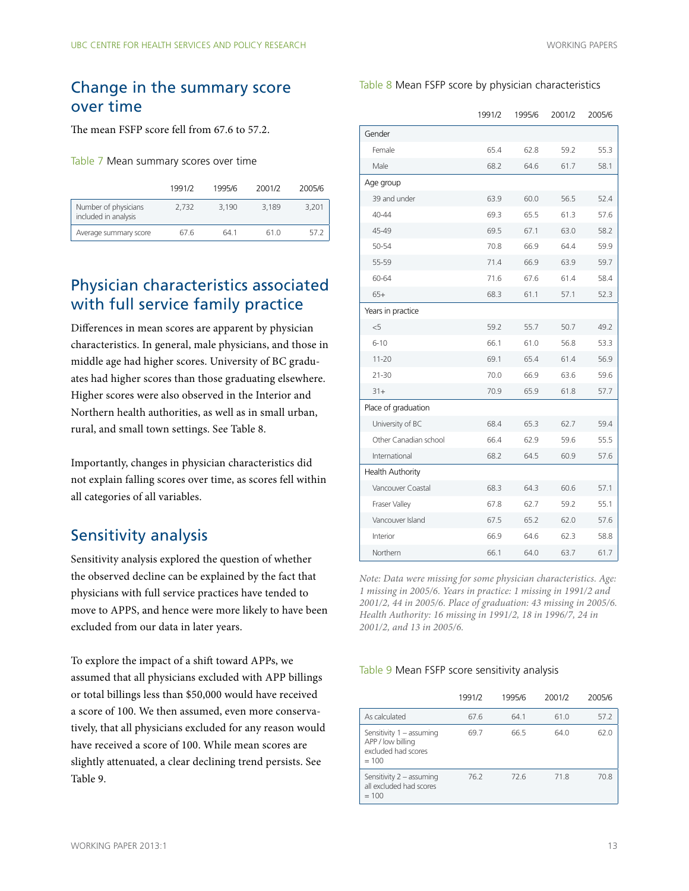## <span id="page-12-0"></span>Change in the summary score over time

The mean FSFP score fell from 67.6 to 57.2.

Table 7 Mean summary scores over time

|                                              | 1991/2 | 1995/6 | 2001/2 | 2005/6 |
|----------------------------------------------|--------|--------|--------|--------|
| Number of physicians<br>included in analysis | 2.732  | 3.190  | 3.189  | 3.201  |
| Average summary score                        | 67 6   | 64 1   | 61 0   | 57.2   |

# Physician characteristics associated with full service family practice

Differences in mean scores are apparent by physician characteristics. In general, male physicians, and those in middle age had higher scores. University of BC graduates had higher scores than those graduating elsewhere. Higher scores were also observed in the Interior and Northern health authorities, as well as in small urban, rural, and small town settings. See Table 8.

Importantly, changes in physician characteristics did not explain falling scores over time, as scores fell within all categories of all variables.

# Sensitivity analysis

Sensitivity analysis explored the question of whether the observed decline can be explained by the fact that physicians with full service practices have tended to move to APPS, and hence were more likely to have been excluded from our data in later years.

To explore the impact of a shift toward APPs, we assumed that all physicians excluded with APP billings or total billings less than \$50,000 would have received a score of 100. We then assumed, even more conservatively, that all physicians excluded for any reason would have received a score of 100. While mean scores are slightly attenuated, a clear declining trend persists. See Table 9.

#### Table 8 Mean FSFP score by physician characteristics

|                         | 1991/2 | 1995/6 | 2001/2 | 2005/6 |
|-------------------------|--------|--------|--------|--------|
| Gender                  |        |        |        |        |
| Female                  | 65.4   | 62.8   | 59.2   | 55.3   |
| Male                    | 68.2   | 64.6   | 61.7   | 58.1   |
| Age group               |        |        |        |        |
| 39 and under            | 63.9   | 60.0   | 56.5   | 52.4   |
| $40 - 44$               | 69.3   | 65.5   | 61.3   | 57.6   |
| 45-49                   | 69.5   | 67.1   | 63.0   | 58.2   |
| 50-54                   | 70.8   | 66.9   | 64.4   | 59.9   |
| 55-59                   | 71.4   | 66.9   | 63.9   | 59.7   |
| 60-64                   | 71.6   | 67.6   | 61.4   | 58.4   |
| $65+$                   | 68.3   | 61.1   | 57.1   | 52.3   |
| Years in practice       |        |        |        |        |
| $<$ 5                   | 59.2   | 55.7   | 50.7   | 49.2   |
| $6 - 10$                | 66.1   | 61.0   | 56.8   | 53.3   |
| $11 - 20$               | 69.1   | 65.4   | 61.4   | 56.9   |
| $21 - 30$               | 70.0   | 66.9   | 63.6   | 59.6   |
| $31+$                   | 70.9   | 65.9   | 61.8   | 57.7   |
| Place of graduation     |        |        |        |        |
| University of BC        | 68.4   | 65.3   | 62.7   | 59.4   |
| Other Canadian school   | 66.4   | 62.9   | 59.6   | 55.5   |
| International           | 68.2   | 64.5   | 60.9   | 57.6   |
| <b>Health Authority</b> |        |        |        |        |
| Vancouver Coastal       | 68.3   | 64.3   | 60.6   | 57.1   |
| Fraser Valley           | 67.8   | 62.7   | 59.2   | 55.1   |
| Vancouver Island        | 67.5   | 65.2   | 62.0   | 57.6   |
| Interior                | 66.9   | 64.6   | 62.3   | 58.8   |
| Northern                | 66.1   | 64.0   | 63.7   | 61.7   |

*Note: Data were missing for some physician characteristics. Age: 1 missing in 2005/6. Years in practice: 1 missing in 1991/2 and 2001/2, 44 in 2005/6. Place of graduation: 43 missing in 2005/6. Health Authority: 16 missing in 1991/2, 18 in 1996/7, 24 in 2001/2, and 13 in 2005/6.*

#### Table 9 Mean FSFP score sensitivity analysis

|                                                                                 | 1991/2 | 1995/6 | 2001/2 | 2005/6 |
|---------------------------------------------------------------------------------|--------|--------|--------|--------|
| As calculated                                                                   | 67.6   | 64.1   | 61.0   | 57.2   |
| Sensitivity 1 - assuming<br>APP / low billing<br>excluded had scores<br>$= 100$ | 69.7   | 66.5   | 64.0   | 62.0   |
| Sensitivity 2 - assuming<br>all excluded had scores<br>$=100$                   | 76.2   | 726    | 718    | 70.8   |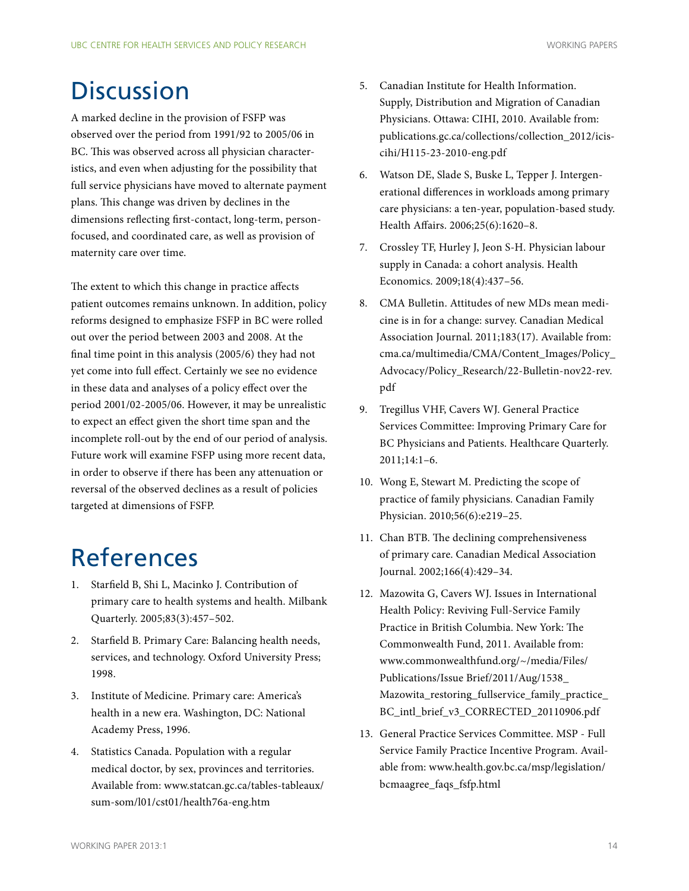# <span id="page-13-0"></span>**Discussion**

A marked decline in the provision of FSFP was observed over the period from 1991/92 to 2005/06 in BC. This was observed across all physician characteristics, and even when adjusting for the possibility that full service physicians have moved to alternate payment plans. This change was driven by declines in the dimensions reflecting first-contact, long-term, personfocused, and coordinated care, as well as provision of maternity care over time.

The extent to which this change in practice affects patient outcomes remains unknown. In addition, policy reforms designed to emphasize FSFP in BC were rolled out over the period between 2003 and 2008. At the final time point in this analysis (2005/6) they had not yet come into full effect. Certainly we see no evidence in these data and analyses of a policy effect over the period 2001/02-2005/06. However, it may be unrealistic to expect an effect given the short time span and the incomplete roll-out by the end of our period of analysis. Future work will examine FSFP using more recent data, in order to observe if there has been any attenuation or reversal of the observed declines as a result of policies targeted at dimensions of FSFP.

# References

- 1. Starfield B, Shi L, Macinko J. Contribution of primary care to health systems and health. Milbank Quarterly. 2005;83(3):457–502.
- 2. Starfield B. Primary Care: Balancing health needs, services, and technology. Oxford University Press; 1998.
- 3. Institute of Medicine. Primary care: America's health in a new era. Washington, DC: National Academy Press, 1996.
- 4. Statistics Canada. Population with a regular medical doctor, by sex, provinces and territories. Available from: www.statcan.gc.ca/tables-tableaux/ sum-som/l01/cst01/health76a-eng.htm
- 5. Canadian Institute for Health Information. Supply, Distribution and Migration of Canadian Physicians. Ottawa: CIHI, 2010. Available from: publications.gc.ca/collections/collection\_2012/iciscihi/H115-23-2010-eng.pdf
- 6. Watson DE, Slade S, Buske L, Tepper J. Intergenerational differences in workloads among primary care physicians: a ten-year, population-based study. Health Affairs. 2006;25(6):1620–8.
- 7. Crossley TF, Hurley J, Jeon S-H. Physician labour supply in Canada: a cohort analysis. Health Economics. 2009;18(4):437–56.
- 8. CMA Bulletin. Attitudes of new MDs mean medicine is in for a change: survey. Canadian Medical Association Journal. 2011;183(17). Available from: cma.ca/multimedia/CMA/Content\_Images/Policy\_ Advocacy/Policy\_Research/22-Bulletin-nov22-rev. pdf
- 9. Tregillus VHF, Cavers WJ. General Practice Services Committee: Improving Primary Care for BC Physicians and Patients. Healthcare Quarterly. 2011;14:1–6.
- 10. Wong E, Stewart M. Predicting the scope of practice of family physicians. Canadian Family Physician. 2010;56(6):e219–25.
- 11. Chan BTB. The declining comprehensiveness of primary care. Canadian Medical Association Journal. 2002;166(4):429–34.
- 12. Mazowita G, Cavers WJ. Issues in International Health Policy: Reviving Full-Service Family Practice in British Columbia. New York: The Commonwealth Fund, 2011. Available from: www.commonwealthfund.org/~/media/Files/ Publications/Issue Brief/2011/Aug/1538\_ Mazowita\_restoring\_fullservice\_family\_practice\_ BC\_intl\_brief\_v3\_CORRECTED\_20110906.pdf
- 13. General Practice Services Committee. MSP Full Service Family Practice Incentive Program. Available from: www.health.gov.bc.ca/msp/legislation/ bcmaagree\_faqs\_fsfp.html